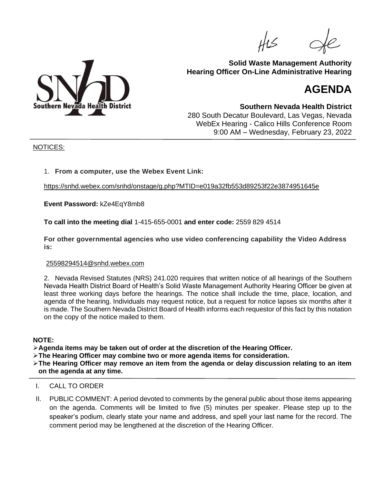

# **Solid Waste Management Authority Hearing Officer On-Line Administrative Hearing**

# **AGENDA**

**Southern Nevada Health District** 280 South Decatur Boulevard, Las Vegas, Nevada WebEx Hearing - Calico Hills Conference Room 9:00 AM – Wednesday, February 23, 2022

#### NOTICES:

## 1. **From a computer, use the Webex Event Link:**

[https://snhd.webex.com/snhd/onstage/g.php?MTID=e019a32fb553d89253f22e3874951645e](https://protect-us.mimecast.com/s/yHdnCKrBW7h2kJR2hvqyL2?domain=snhd.webex.com)

**Event Password:** kZe4EqY8mb8

**To call into the meeting dial** 1-415-655-0001 **and enter code:** 2559 829 4514

**For other governmental agencies who use video conferencing capability the Video Address is:**

#### [25598294514@snhd.webex.com](mailto:25598294514@snhd.webex.com)

2. Nevada Revised Statutes (NRS) 241.020 requires that written notice of all hearings of the Southern Nevada Health District Board of Health's Solid Waste Management Authority Hearing Officer be given at least three working days before the hearings. The notice shall include the time, place, location, and agenda of the hearing. Individuals may request notice, but a request for notice lapses six months after it is made. The Southern Nevada District Board of Health informs each requestor of this fact by this notation on the copy of the notice mailed to them.

## **NOTE:**

➢**Agenda items may be taken out of order at the discretion of the Hearing Officer.**

➢**The Hearing Officer may combine two or more agenda items for consideration.**

➢**The Hearing Officer may remove an item from the agenda or delay discussion relating to an item on the agenda at any time.**

- I. CALL TO ORDER
- II. PUBLIC COMMENT: A period devoted to comments by the general public about those items appearing on the agenda. Comments will be limited to five (5) minutes per speaker. Please step up to the speaker's podium, clearly state your name and address, and spell your last name for the record. The comment period may be lengthened at the discretion of the Hearing Officer.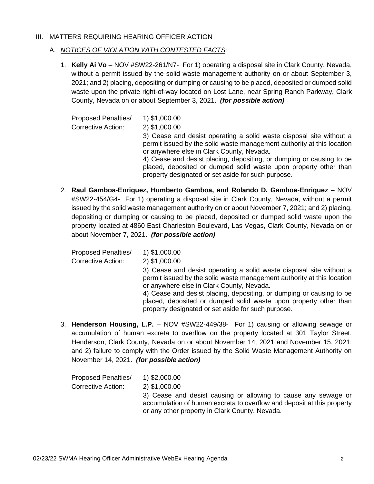## III. MATTERS REQUIRING HEARING OFFICER ACTION

## A. *NOTICES OF VIOLATION WITH CONTESTED FACTS:*

1. **Kelly Ai Vo** – NOV #SW22-261/N7- For 1) operating a disposal site in Clark County, Nevada, without a permit issued by the solid waste management authority on or about September 3, 2021; and 2) placing, depositing or dumping or causing to be placed, deposited or dumped solid waste upon the private right-of-way located on Lost Lane, near Spring Ranch Parkway, Clark County, Nevada on or about September 3, 2021. *(for possible action)*

| <b>Proposed Penalties/</b><br><b>Corrective Action:</b> | 1) \$1,000.00<br>2) \$1,000.00<br>3) Cease and desist operating a solid waste disposal site without a<br>permit issued by the solid waste management authority at this location<br>or anywhere else in Clark County, Nevada.<br>4) Cease and desist placing, depositing, or dumping or causing to be<br>placed, deposited or dumped solid waste upon property other than<br>property designated or set aside for such purpose. |
|---------------------------------------------------------|--------------------------------------------------------------------------------------------------------------------------------------------------------------------------------------------------------------------------------------------------------------------------------------------------------------------------------------------------------------------------------------------------------------------------------|
|---------------------------------------------------------|--------------------------------------------------------------------------------------------------------------------------------------------------------------------------------------------------------------------------------------------------------------------------------------------------------------------------------------------------------------------------------------------------------------------------------|

2. **Raul Gamboa-Enriquez, Humberto Gamboa, and Rolando D. Gamboa-Enriquez** – NOV #SW22-454/G4- For 1) operating a disposal site in Clark County, Nevada, without a permit issued by the solid waste management authority on or about November 7, 2021; and 2) placing, depositing or dumping or causing to be placed, deposited or dumped solid waste upon the property located at 4860 East Charleston Boulevard, Las Vegas, Clark County, Nevada on or about November 7, 2021. *(for possible action)*

Proposed Penalties/ 1) \$1,000.00 Corrective Action: 2) \$1,000.00 3) Cease and desist operating a solid waste disposal site without a permit issued by the solid waste management authority at this location or anywhere else in Clark County, Nevada. 4) Cease and desist placing, depositing, or dumping or causing to be placed, deposited or dumped solid waste upon property other than property designated or set aside for such purpose.

3. **Henderson Housing, L.P.** – NOV #SW22-449/38- For 1) causing or allowing sewage or accumulation of human excreta to overflow on the property located at 301 Taylor Street, Henderson, Clark County, Nevada on or about November 14, 2021 and November 15, 2021; and 2) failure to comply with the Order issued by the Solid Waste Management Authority on November 14, 2021. *(for possible action)*

| <b>Proposed Penalties/</b> | 1) \$2,000.00                                                                                                                                                                              |
|----------------------------|--------------------------------------------------------------------------------------------------------------------------------------------------------------------------------------------|
| Corrective Action:         | 2) \$1,000.00                                                                                                                                                                              |
|                            | 3) Cease and desist causing or allowing to cause any sewage or<br>accumulation of human excreta to overflow and deposit at this property<br>or any other property in Clark County, Nevada. |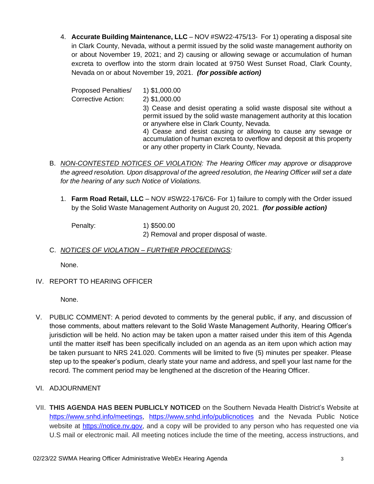4. **Accurate Building Maintenance, LLC** – NOV #SW22-475/13- For 1) operating a disposal site in Clark County, Nevada, without a permit issued by the solid waste management authority on or about November 19, 2021; and 2) causing or allowing sewage or accumulation of human excreta to overflow into the storm drain located at 9750 West Sunset Road, Clark County, Nevada on or about November 19, 2021. *(for possible action)*

| <b>Proposed Penalties/</b> | 1) \$1,000.00                                                                                                                                                                                                                                                                                                                                                                            |
|----------------------------|------------------------------------------------------------------------------------------------------------------------------------------------------------------------------------------------------------------------------------------------------------------------------------------------------------------------------------------------------------------------------------------|
| Corrective Action:         | 2) \$1,000.00                                                                                                                                                                                                                                                                                                                                                                            |
|                            | 3) Cease and desist operating a solid waste disposal site without a<br>permit issued by the solid waste management authority at this location<br>or anywhere else in Clark County, Nevada.<br>4) Cease and desist causing or allowing to cause any sewage or<br>accumulation of human excreta to overflow and deposit at this property<br>or any other property in Clark County, Nevada. |

- B. *NON-CONTESTED NOTICES OF VIOLATION: The Hearing Officer may approve or disapprove the agreed resolution. Upon disapproval of the agreed resolution, the Hearing Officer will set a date for the hearing of any such Notice of Violations.*
	- 1. **Farm Road Retail, LLC** NOV #SW22-176/C6- For 1) failure to comply with the Order issued by the Solid Waste Management Authority on August 20, 2021. *(for possible action)*

Penalty: 1) \$500.00 2) Removal and proper disposal of waste.

# C. *NOTICES OF VIOLATION – FURTHER PROCEEDINGS:*

None.

IV. REPORT TO HEARING OFFICER

None.

- V. PUBLIC COMMENT: A period devoted to comments by the general public, if any, and discussion of those comments, about matters relevant to the Solid Waste Management Authority, Hearing Officer's jurisdiction will be held. No action may be taken upon a matter raised under this item of this Agenda until the matter itself has been specifically included on an agenda as an item upon which action may be taken pursuant to NRS 241.020. Comments will be limited to five (5) minutes per speaker. Please step up to the speaker's podium, clearly state your name and address, and spell your last name for the record. The comment period may be lengthened at the discretion of the Hearing Officer.
- VI. ADJOURNMENT
- VII. **THIS AGENDA HAS BEEN PUBLICLY NOTICED** on the Southern Nevada Health District's Website at [https://www.snhd.info/meetings,](https://www.snhd.info/meetings) <https://www.snhd.info/publicnotices> and the Nevada Public Notice website at [https://notice.nv.gov,](https://notice.nv.gov/) and a copy will be provided to any person who has requested one via U.S mail or electronic mail. All meeting notices include the time of the meeting, access instructions, and